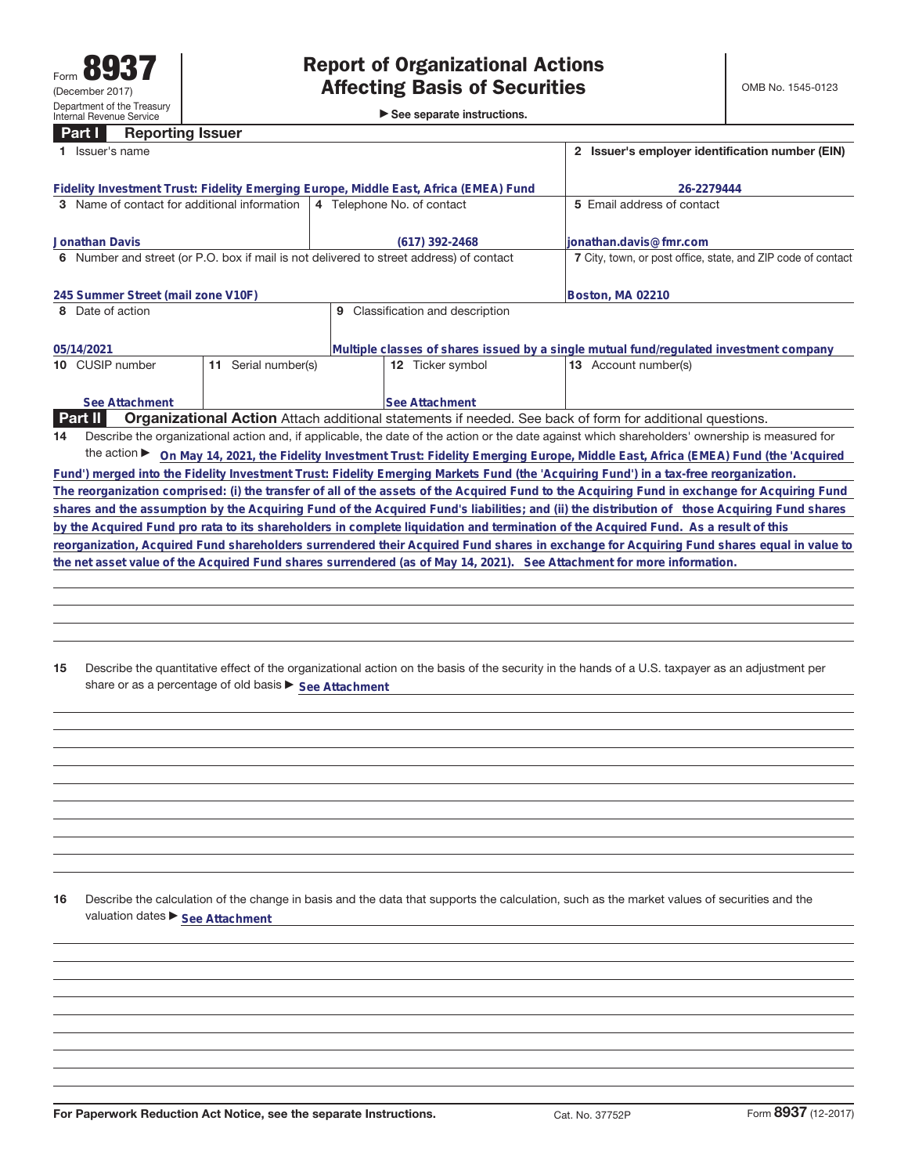**Part I Reporting Issuer**

►<br>► See separate instructions.

|    | 1 Issuer's name                                                                                                        |                                     | 2 Issuer's employer identification number (EIN) |                       |  |                                                                                                                                                 |  |  |  |
|----|------------------------------------------------------------------------------------------------------------------------|-------------------------------------|-------------------------------------------------|-----------------------|--|-------------------------------------------------------------------------------------------------------------------------------------------------|--|--|--|
|    | Fidelity Investment Trust: Fidelity Emerging Europe, Middle East, Africa (EMEA) Fund                                   |                                     |                                                 |                       |  | 26-2279444                                                                                                                                      |  |  |  |
|    | 3 Name of contact for additional information                                                                           |                                     | 4 Telephone No. of contact                      |                       |  | 5 Email address of contact                                                                                                                      |  |  |  |
|    | <b>Jonathan Davis</b>                                                                                                  |                                     |                                                 | $(617)$ 392-2468      |  | lionathan.davis@fmr.com                                                                                                                         |  |  |  |
|    | 6 Number and street (or P.O. box if mail is not delivered to street address) of contact                                |                                     |                                                 |                       |  | 7 City, town, or post office, state, and ZIP code of contact                                                                                    |  |  |  |
|    | 245 Summer Street (mail zone V10F)                                                                                     |                                     |                                                 |                       |  | Boston, MA 02210                                                                                                                                |  |  |  |
|    | 8 Date of action                                                                                                       | Classification and description<br>9 |                                                 |                       |  |                                                                                                                                                 |  |  |  |
|    | 05/14/2021                                                                                                             |                                     |                                                 |                       |  | Multiple classes of shares issued by a single mutual fund/regulated investment company                                                          |  |  |  |
|    | 10 CUSIP number                                                                                                        | 11 Serial number(s)                 |                                                 | 12 Ticker symbol      |  | 13 Account number(s)                                                                                                                            |  |  |  |
|    | See Attachment                                                                                                         |                                     |                                                 | <b>See Attachment</b> |  |                                                                                                                                                 |  |  |  |
|    | <b>Part II</b>                                                                                                         |                                     |                                                 |                       |  | <b>Organizational Action</b> Attach additional statements if needed. See back of form for additional questions.                                 |  |  |  |
| 14 |                                                                                                                        |                                     |                                                 |                       |  | Describe the organizational action and, if applicable, the date of the action or the date against which shareholders' ownership is measured for |  |  |  |
|    |                                                                                                                        |                                     |                                                 |                       |  | the action ▶ On May 14, 2021, the Fidelity Investment Trust: Fidelity Emerging Europe, Middle East, Africa (EMEA) Fund (the 'Acquired           |  |  |  |
|    |                                                                                                                        |                                     |                                                 |                       |  | Fund') merged into the Fidelity Investment Trust: Fidelity Emerging Markets Fund (the 'Acquiring Fund') in a tax-free reorganization.           |  |  |  |
|    |                                                                                                                        |                                     |                                                 |                       |  | The reorganization comprised: (i) the transfer of all of the assets of the Acquired Fund to the Acquiring Fund in exchange for Acquiring Fund   |  |  |  |
|    |                                                                                                                        |                                     |                                                 |                       |  | shares and the assumption by the Acquiring Fund of the Acquired Fund's liabilities; and (ii) the distribution of those Acquiring Fund shares    |  |  |  |
|    |                                                                                                                        |                                     |                                                 |                       |  | by the Acquired Fund pro rata to its shareholders in complete liquidation and termination of the Acquired Fund. As a result of this             |  |  |  |
|    |                                                                                                                        |                                     |                                                 |                       |  | reorganization, Acquired Fund shareholders surrendered their Acquired Fund shares in exchange for Acquiring Fund shares equal in value to       |  |  |  |
|    | the net asset value of the Acquired Fund shares surrendered (as of May 14, 2021). See Attachment for more information. |                                     |                                                 |                       |  |                                                                                                                                                 |  |  |  |
|    |                                                                                                                        |                                     |                                                 |                       |  |                                                                                                                                                 |  |  |  |

**15** Describe the quantitative effect of the organizational action on the basis of the security in the hands of a U.S. taxpayer as an adjustment per share or as a percentage of old basis  $\blacktriangleright$  See Attachment

**16** Describe the calculation of the change in basis and the data that supports the calculation, such as the market values of securities and the valuation dates  $\blacktriangleright$  **See Attachment**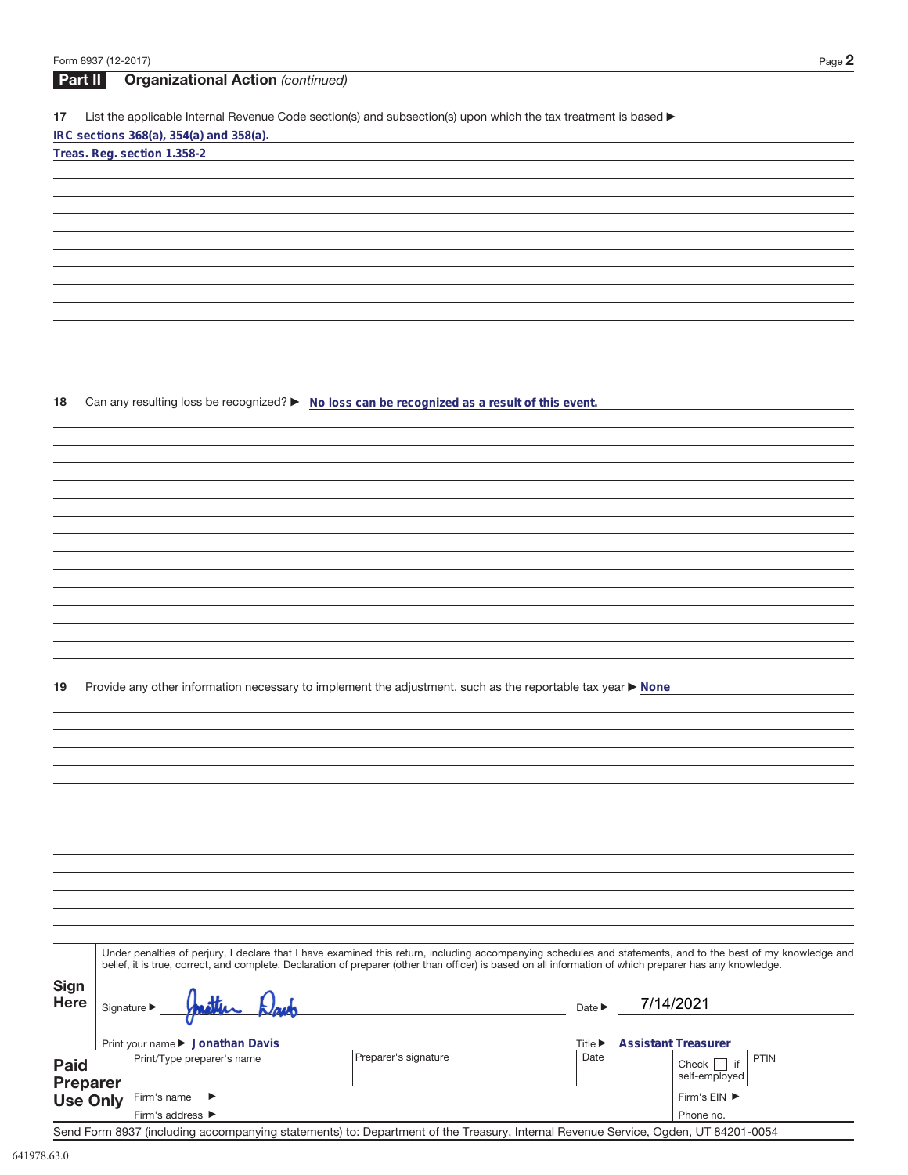| Form 8937 (12-2017)                |                                                                                                                                                                                                                                                                                                                          |                                     | Page $2$                                        |
|------------------------------------|--------------------------------------------------------------------------------------------------------------------------------------------------------------------------------------------------------------------------------------------------------------------------------------------------------------------------|-------------------------------------|-------------------------------------------------|
| Part II                            | <b>Organizational Action (continued)</b>                                                                                                                                                                                                                                                                                 |                                     |                                                 |
| 17                                 | List the applicable Internal Revenue Code section(s) and subsection(s) upon which the tax treatment is based ▶<br>IRC sections 368(a), 354(a) and 358(a).                                                                                                                                                                |                                     |                                                 |
|                                    | Treas. Reg. section 1.358-2                                                                                                                                                                                                                                                                                              |                                     |                                                 |
|                                    |                                                                                                                                                                                                                                                                                                                          |                                     |                                                 |
|                                    |                                                                                                                                                                                                                                                                                                                          |                                     |                                                 |
|                                    |                                                                                                                                                                                                                                                                                                                          |                                     |                                                 |
|                                    |                                                                                                                                                                                                                                                                                                                          |                                     |                                                 |
|                                    |                                                                                                                                                                                                                                                                                                                          |                                     |                                                 |
|                                    |                                                                                                                                                                                                                                                                                                                          |                                     |                                                 |
|                                    |                                                                                                                                                                                                                                                                                                                          |                                     |                                                 |
|                                    |                                                                                                                                                                                                                                                                                                                          |                                     |                                                 |
|                                    |                                                                                                                                                                                                                                                                                                                          |                                     |                                                 |
|                                    |                                                                                                                                                                                                                                                                                                                          |                                     |                                                 |
| 18                                 | Can any resulting loss be recognized? > No loss can be recognized as a result of this event.                                                                                                                                                                                                                             |                                     |                                                 |
|                                    |                                                                                                                                                                                                                                                                                                                          |                                     |                                                 |
|                                    |                                                                                                                                                                                                                                                                                                                          |                                     |                                                 |
|                                    |                                                                                                                                                                                                                                                                                                                          |                                     |                                                 |
|                                    |                                                                                                                                                                                                                                                                                                                          |                                     |                                                 |
|                                    |                                                                                                                                                                                                                                                                                                                          |                                     |                                                 |
|                                    |                                                                                                                                                                                                                                                                                                                          |                                     |                                                 |
|                                    |                                                                                                                                                                                                                                                                                                                          |                                     |                                                 |
|                                    |                                                                                                                                                                                                                                                                                                                          |                                     |                                                 |
|                                    |                                                                                                                                                                                                                                                                                                                          |                                     |                                                 |
|                                    |                                                                                                                                                                                                                                                                                                                          |                                     |                                                 |
|                                    |                                                                                                                                                                                                                                                                                                                          |                                     |                                                 |
|                                    |                                                                                                                                                                                                                                                                                                                          |                                     |                                                 |
| 19                                 | Provide any other information necessary to implement the adjustment, such as the reportable tax year ▶ None                                                                                                                                                                                                              |                                     |                                                 |
|                                    |                                                                                                                                                                                                                                                                                                                          |                                     |                                                 |
|                                    |                                                                                                                                                                                                                                                                                                                          |                                     |                                                 |
|                                    |                                                                                                                                                                                                                                                                                                                          |                                     |                                                 |
|                                    |                                                                                                                                                                                                                                                                                                                          |                                     |                                                 |
|                                    |                                                                                                                                                                                                                                                                                                                          |                                     |                                                 |
|                                    |                                                                                                                                                                                                                                                                                                                          |                                     |                                                 |
|                                    |                                                                                                                                                                                                                                                                                                                          |                                     |                                                 |
|                                    |                                                                                                                                                                                                                                                                                                                          |                                     |                                                 |
|                                    |                                                                                                                                                                                                                                                                                                                          |                                     |                                                 |
|                                    |                                                                                                                                                                                                                                                                                                                          |                                     |                                                 |
|                                    |                                                                                                                                                                                                                                                                                                                          |                                     |                                                 |
|                                    | Under penalties of perjury, I declare that I have examined this return, including accompanying schedules and statements, and to the best of my knowledge and<br>belief, it is true, correct, and complete. Declaration of preparer (other than officer) is based on all information of which preparer has any knowledge. |                                     |                                                 |
| Sign                               |                                                                                                                                                                                                                                                                                                                          |                                     |                                                 |
| <b>Here</b>                        | Signature $\blacktriangleright$                                                                                                                                                                                                                                                                                          | Date $\blacktriangleright$          | 7/14/2021                                       |
|                                    |                                                                                                                                                                                                                                                                                                                          |                                     |                                                 |
|                                    | Print your name ▶ Jonathan Davis                                                                                                                                                                                                                                                                                         | Title $\blacktriangleright$<br>Date | <b>Assistant Treasurer</b>                      |
| <b>Paid</b>                        | Preparer's signature<br>Print/Type preparer's name                                                                                                                                                                                                                                                                       |                                     | <b>PTIN</b><br>Check $\Box$ if<br>self-employed |
| <b>Preparer</b><br><b>Use Only</b> | Firm's name<br>▶                                                                                                                                                                                                                                                                                                         |                                     | Firm's EIN ▶                                    |
|                                    | Firm's address ▶                                                                                                                                                                                                                                                                                                         |                                     | Phone no.                                       |

Send Form 8937 (including accompanying statements) to: Department of the Treasury, Internal Revenue Service, Ogden, UT 84201-0054